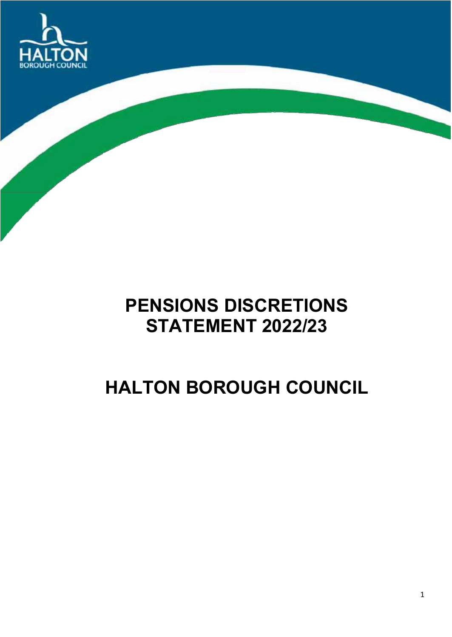

# **PENSIONS DISCRETIONS STATEMENT 2022/23**

# **HALTON BOROUGH COUNCIL**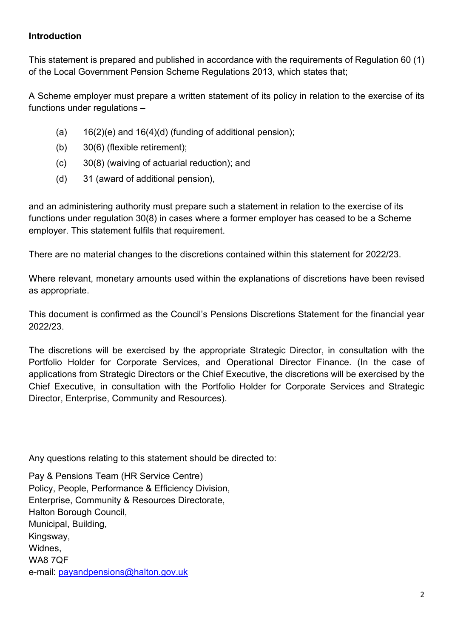## **Introduction**

This statement is prepared and published in accordance with the requirements of Regulation 60 (1) of the Local Government Pension Scheme Regulations 2013, which states that;

A Scheme employer must prepare a written statement of its policy in relation to the exercise of its functions under regulations –

- (a)  $16(2)(e)$  and  $16(4)(d)$  (funding of additional pension);
- (b) 30(6) (flexible retirement);
- (c) 30(8) (waiving of actuarial reduction); and
- (d) 31 (award of additional pension),

and an administering authority must prepare such a statement in relation to the exercise of its functions under regulation 30(8) in cases where a former employer has ceased to be a Scheme employer. This statement fulfils that requirement.

There are no material changes to the discretions contained within this statement for 2022/23.

Where relevant, monetary amounts used within the explanations of discretions have been revised as appropriate.

This document is confirmed as the Council's Pensions Discretions Statement for the financial year 2022/23.

The discretions will be exercised by the appropriate Strategic Director, in consultation with the Portfolio Holder for Corporate Services, and Operational Director Finance. (In the case of applications from Strategic Directors or the Chief Executive, the discretions will be exercised by the Chief Executive, in consultation with the Portfolio Holder for Corporate Services and Strategic Director, Enterprise, Community and Resources).

Any questions relating to this statement should be directed to:

Pay & Pensions Team (HR Service Centre) Policy, People, Performance & Efficiency Division, Enterprise, Community & Resources Directorate, Halton Borough Council, Municipal, Building, Kingsway, Widnes, WA8 7QF e-mail: [payandpensions@halton.gov.uk](mailto:payandpensions@halton.gov.uk)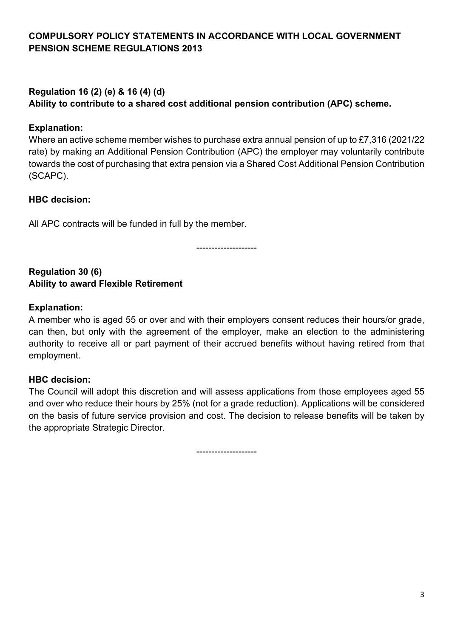# **Regulation 16 (2) (e) & 16 (4) (d)**

**Ability to contribute to a shared cost additional pension contribution (APC) scheme.**

# **Explanation:**

Where an active scheme member wishes to purchase extra annual pension of up to £7,316 (2021/22 rate) by making an Additional Pension Contribution (APC) the employer may voluntarily contribute towards the cost of purchasing that extra pension via a Shared Cost Additional Pension Contribution (SCAPC).

# **HBC decision:**

All APC contracts will be funded in full by the member.

--------------------

#### **Regulation 30 (6) Ability to award Flexible Retirement**

## **Explanation:**

A member who is aged 55 or over and with their employers consent reduces their hours/or grade, can then, but only with the agreement of the employer, make an election to the administering authority to receive all or part payment of their accrued benefits without having retired from that employment.

# **HBC decision:**

The Council will adopt this discretion and will assess applications from those employees aged 55 and over who reduce their hours by 25% (not for a grade reduction). Applications will be considered on the basis of future service provision and cost. The decision to release benefits will be taken by the appropriate Strategic Director.

--------------------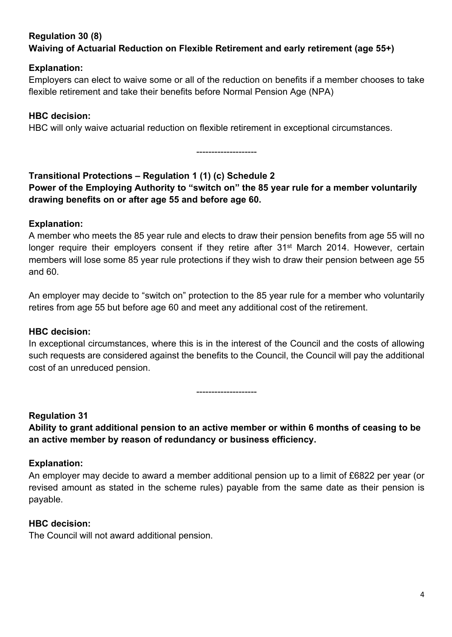# **Regulation 30 (8) Waiving of Actuarial Reduction on Flexible Retirement and early retirement (age 55+)**

## **Explanation:**

Employers can elect to waive some or all of the reduction on benefits if a member chooses to take flexible retirement and take their benefits before Normal Pension Age (NPA)

## **HBC decision:**

HBC will only waive actuarial reduction on flexible retirement in exceptional circumstances.

--------------------

## **Transitional Protections – Regulation 1 (1) (c) Schedule 2 Power of the Employing Authority to "switch on" the 85 year rule for a member voluntarily drawing benefits on or after age 55 and before age 60.**

# **Explanation:**

A member who meets the 85 year rule and elects to draw their pension benefits from age 55 will no longer require their employers consent if they retire after 31<sup>st</sup> March 2014. However, certain members will lose some 85 year rule protections if they wish to draw their pension between age 55 and 60.

An employer may decide to "switch on" protection to the 85 year rule for a member who voluntarily retires from age 55 but before age 60 and meet any additional cost of the retirement.

### **HBC decision:**

In exceptional circumstances, where this is in the interest of the Council and the costs of allowing such requests are considered against the benefits to the Council, the Council will pay the additional cost of an unreduced pension.

--------------------

### **Regulation 31**

**Ability to grant additional pension to an active member or within 6 months of ceasing to be an active member by reason of redundancy or business efficiency.**

### **Explanation:**

An employer may decide to award a member additional pension up to a limit of £6822 per year (or revised amount as stated in the scheme rules) payable from the same date as their pension is payable.

### **HBC decision:**

The Council will not award additional pension.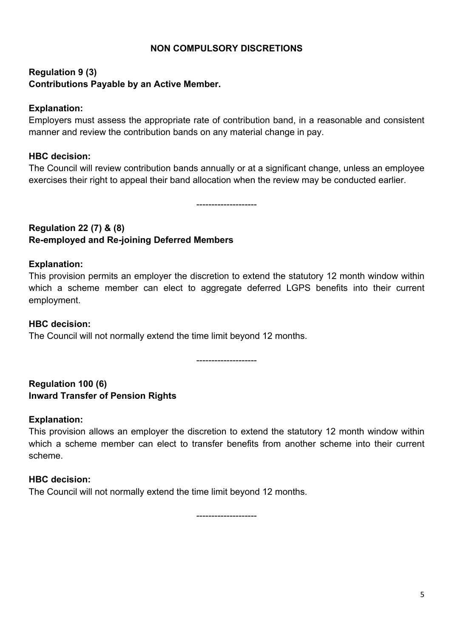#### **NON COMPULSORY DISCRETIONS**

# **Regulation 9 (3) Contributions Payable by an Active Member.**

#### **Explanation:**

Employers must assess the appropriate rate of contribution band, in a reasonable and consistent manner and review the contribution bands on any material change in pay.

#### **HBC decision:**

The Council will review contribution bands annually or at a significant change, unless an employee exercises their right to appeal their band allocation when the review may be conducted earlier.

--------------------

# **Regulation 22 (7) & (8) Re-employed and Re-joining Deferred Members**

#### **Explanation:**

This provision permits an employer the discretion to extend the statutory 12 month window within which a scheme member can elect to aggregate deferred LGPS benefits into their current employment.

#### **HBC decision:**

The Council will not normally extend the time limit beyond 12 months.

--------------------

### **Regulation 100 (6) Inward Transfer of Pension Rights**

### **Explanation:**

This provision allows an employer the discretion to extend the statutory 12 month window within which a scheme member can elect to transfer benefits from another scheme into their current scheme.

#### **HBC decision:**

The Council will not normally extend the time limit beyond 12 months.

--------------------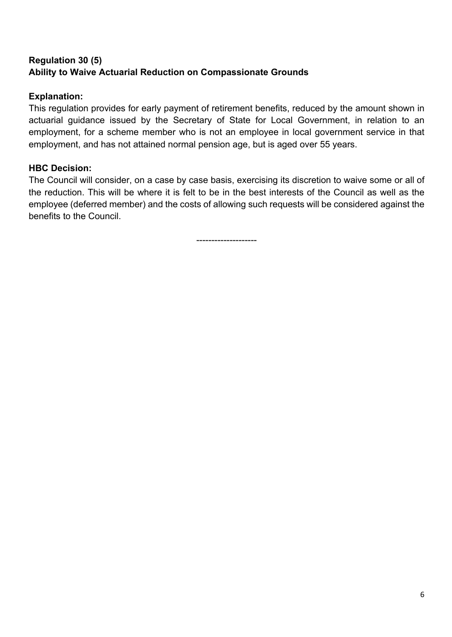# **Regulation 30 (5) Ability to Waive Actuarial Reduction on Compassionate Grounds**

## **Explanation:**

This regulation provides for early payment of retirement benefits, reduced by the amount shown in actuarial guidance issued by the Secretary of State for Local Government, in relation to an employment, for a scheme member who is not an employee in local government service in that employment, and has not attained normal pension age, but is aged over 55 years.

## **HBC Decision:**

The Council will consider, on a case by case basis, exercising its discretion to waive some or all of the reduction. This will be where it is felt to be in the best interests of the Council as well as the employee (deferred member) and the costs of allowing such requests will be considered against the benefits to the Council.

--------------------